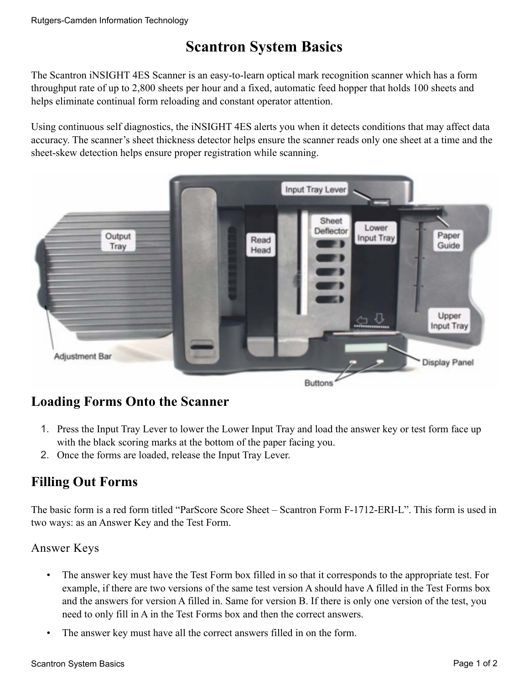# **Scantron System Basics**

The Scantron iNSIGHT 4ES Scanner is an easy-to-learn optical mark recognition scanner which has a form throughput rate of up to 2,800 sheets per hour and a fixed, automatic feed hopper that holds 100 sheets and helps eliminate continual form reloading and constant operator attention.

Using continuous self diagnostics, the iNSIGHT 4ES alerts you when it detects conditions that may affect data accuracy. The scanner's sheet thickness detector helps ensure the scanner reads only one sheet at a time and the sheet-skew detection helps ensure proper registration while scanning.



## **Loading Forms Onto the Scanner**

- 1. Press the Input Tray Lever to lower the Lower Input Tray and load the answer key or test form face up with the black scoring marks at the bottom of the paper facing you.
- 2. Once the forms are loaded, release the Input Tray Lever.

## **Filling Out Forms**

The basic form is a red form titled "ParScore Score Sheet – Scantron Form F-1712-ERI-L". This form is used in two ways: as an Answer Key and the Test Form.

## Answer Keys

- The answer key must have the Test Form box filled in so that it corresponds to the appropriate test. For example, if there are two versions of the same test version A should have A filled in the Test Forms box and the answers for version A filled in. Same for version B. If there is only one version of the test, you need to only fill in A in the Test Forms box and then the correct answers.
- The answer key must have all the correct answers filled in on the form.